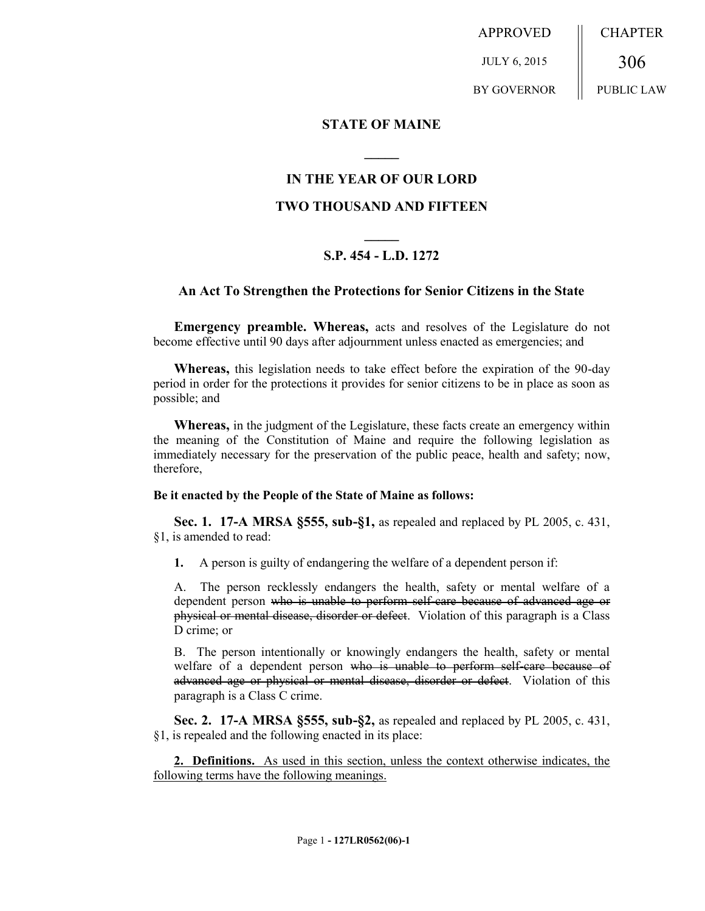APPROVED JULY 6, 2015 BY GOVERNOR **CHAPTER** 306 PUBLIC LAW

**STATE OF MAINE**

## **IN THE YEAR OF OUR LORD**

**\_\_\_\_\_**

## **TWO THOUSAND AND FIFTEEN**

# **\_\_\_\_\_ S.P. 454 - L.D. 1272**

### **An Act To Strengthen the Protections for Senior Citizens in the State**

**Emergency preamble. Whereas,** acts and resolves of the Legislature do not become effective until 90 days after adjournment unless enacted as emergencies; and

**Whereas,** this legislation needs to take effect before the expiration of the 90-day period in order for the protections it provides for senior citizens to be in place as soon as possible; and

**Whereas,** in the judgment of the Legislature, these facts create an emergency within the meaning of the Constitution of Maine and require the following legislation as immediately necessary for the preservation of the public peace, health and safety; now, therefore,

#### **Be it enacted by the People of the State of Maine as follows:**

**Sec. 1. 17-A MRSA §555, sub-§1,** as repealed and replaced by PL 2005, c. 431, §1, is amended to read:

**1.** A person is guilty of endangering the welfare of a dependent person if:

A. The person recklessly endangers the health, safety or mental welfare of a dependent person who is unable to perform self-care because of advanced age or physical or mental disease, disorder or defect. Violation of this paragraph is a Class D crime; or

B. The person intentionally or knowingly endangers the health, safety or mental welfare of a dependent person who is unable to perform self-care because of advanced age or physical or mental disease, disorder or defect. Violation of this paragraph is a Class C crime.

**Sec. 2. 17-A MRSA §555, sub-§2,** as repealed and replaced by PL 2005, c. 431, §1, is repealed and the following enacted in its place:

**2. Definitions.** As used in this section, unless the context otherwise indicates, the following terms have the following meanings.